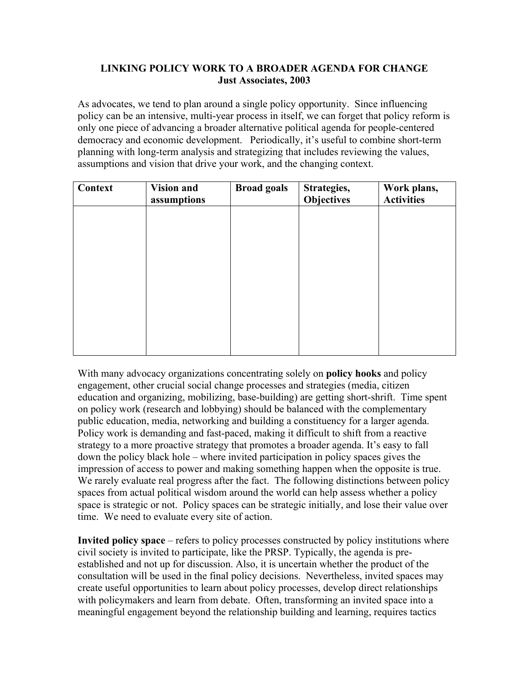## **LINKING POLICY WORK TO A BROADER AGENDA FOR CHANGE Just Associates, 2003**

As advocates, we tend to plan around a single policy opportunity. Since influencing policy can be an intensive, multi-year process in itself, we can forget that policy reform is only one piece of advancing a broader alternative political agenda for people-centered democracy and economic development. Periodically, it's useful to combine short-term planning with long-term analysis and strategizing that includes reviewing the values, assumptions and vision that drive your work, and the changing context.

| <b>Context</b> | <b>Vision and</b><br>assumptions | <b>Broad goals</b> | Strategies,<br><b>Objectives</b> | Work plans,<br><b>Activities</b> |
|----------------|----------------------------------|--------------------|----------------------------------|----------------------------------|
|                |                                  |                    |                                  |                                  |
|                |                                  |                    |                                  |                                  |
|                |                                  |                    |                                  |                                  |
|                |                                  |                    |                                  |                                  |
|                |                                  |                    |                                  |                                  |
|                |                                  |                    |                                  |                                  |

With many advocacy organizations concentrating solely on **policy hooks** and policy engagement, other crucial social change processes and strategies (media, citizen education and organizing, mobilizing, base-building) are getting short-shrift. Time spent on policy work (research and lobbying) should be balanced with the complementary public education, media, networking and building a constituency for a larger agenda. Policy work is demanding and fast-paced, making it difficult to shift from a reactive strategy to a more proactive strategy that promotes a broader agenda. It's easy to fall down the policy black hole – where invited participation in policy spaces gives the impression of access to power and making something happen when the opposite is true. We rarely evaluate real progress after the fact. The following distinctions between policy spaces from actual political wisdom around the world can help assess whether a policy space is strategic or not. Policy spaces can be strategic initially, and lose their value over time. We need to evaluate every site of action.

**Invited policy space** – refers to policy processes constructed by policy institutions where civil society is invited to participate, like the PRSP. Typically, the agenda is preestablished and not up for discussion. Also, it is uncertain whether the product of the consultation will be used in the final policy decisions. Nevertheless, invited spaces may create useful opportunities to learn about policy processes, develop direct relationships with policymakers and learn from debate. Often, transforming an invited space into a meaningful engagement beyond the relationship building and learning, requires tactics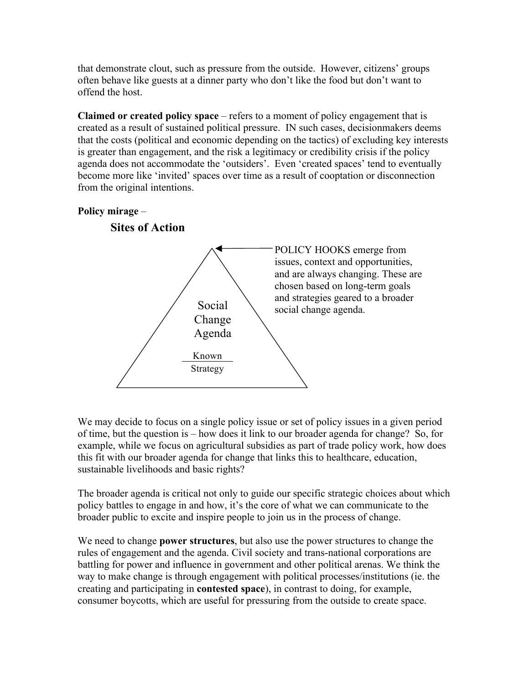that demonstrate clout, such as pressure from the outside. However, citizens' groups often behave like guests at a dinner party who don't like the food but don't want to offend the host.

**Claimed or created policy space** – refers to a moment of policy engagement that is created as a result of sustained political pressure. IN such cases, decisionmakers deems that the costs (political and economic depending on the tactics) of excluding key interests is greater than engagement, and the risk a legitimacy or credibility crisis if the policy agenda does not accommodate the 'outsiders'. Even 'created spaces' tend to eventually become more like 'invited' spaces over time as a result of cooptation or disconnection from the original intentions.



We may decide to focus on a single policy issue or set of policy issues in a given period of time, but the question is – how does it link to our broader agenda for change? So, for example, while we focus on agricultural subsidies as part of trade policy work, how does this fit with our broader agenda for change that links this to healthcare, education, sustainable livelihoods and basic rights?

The broader agenda is critical not only to guide our specific strategic choices about which policy battles to engage in and how, it's the core of what we can communicate to the broader public to excite and inspire people to join us in the process of change.

We need to change **power structures**, but also use the power structures to change the rules of engagement and the agenda. Civil society and trans-national corporations are battling for power and influence in government and other political arenas. We think the way to make change is through engagement with political processes/institutions (ie. the creating and participating in **contested space**), in contrast to doing, for example, consumer boycotts, which are useful for pressuring from the outside to create space.